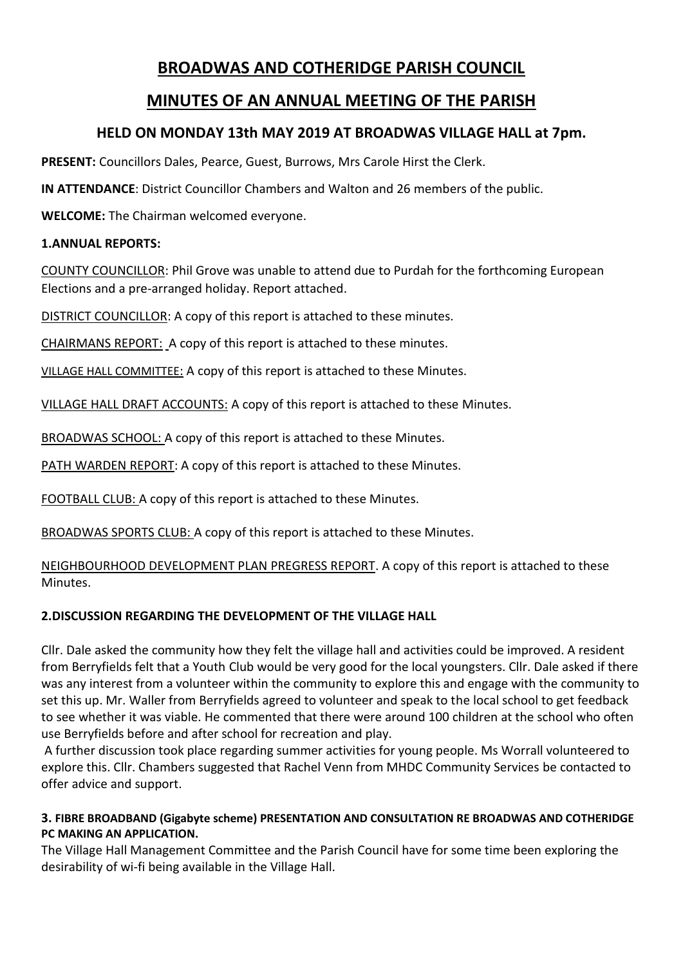# **BROADWAS AND COTHERIDGE PARISH COUNCIL**

# **MINUTES OF AN ANNUAL MEETING OF THE PARISH**

## **HELD ON MONDAY 13th MAY 2019 AT BROADWAS VILLAGE HALL at 7pm.**

**PRESENT:** Councillors Dales, Pearce, Guest, Burrows, Mrs Carole Hirst the Clerk.

**IN ATTENDANCE**: District Councillor Chambers and Walton and 26 members of the public.

**WELCOME:** The Chairman welcomed everyone.

### **1.ANNUAL REPORTS:**

COUNTY COUNCILLOR: Phil Grove was unable to attend due to Purdah for the forthcoming European Elections and a pre-arranged holiday. Report attached.

DISTRICT COUNCILLOR: A copy of this report is attached to these minutes.

CHAIRMANS REPORT: A copy of this report is attached to these minutes.

VILLAGE HALL COMMITTEE: A copy of this report is attached to these Minutes.

VILLAGE HALL DRAFT ACCOUNTS: A copy of this report is attached to these Minutes.

BROADWAS SCHOOL: A copy of this report is attached to these Minutes.

PATH WARDEN REPORT: A copy of this report is attached to these Minutes.

FOOTBALL CLUB: A copy of this report is attached to these Minutes.

BROADWAS SPORTS CLUB: A copy of this report is attached to these Minutes.

NEIGHBOURHOOD DEVELOPMENT PLAN PREGRESS REPORT. A copy of this report is attached to these Minutes.

## **2.DISCUSSION REGARDING THE DEVELOPMENT OF THE VILLAGE HALL**

Cllr. Dale asked the community how they felt the village hall and activities could be improved. A resident from Berryfields felt that a Youth Club would be very good for the local youngsters. Cllr. Dale asked if there was any interest from a volunteer within the community to explore this and engage with the community to set this up. Mr. Waller from Berryfields agreed to volunteer and speak to the local school to get feedback to see whether it was viable. He commented that there were around 100 children at the school who often use Berryfields before and after school for recreation and play.

A further discussion took place regarding summer activities for young people. Ms Worrall volunteered to explore this. Cllr. Chambers suggested that Rachel Venn from MHDC Community Services be contacted to offer advice and support.

### **3. FIBRE BROADBAND (Gigabyte scheme) PRESENTATION AND CONSULTATION RE BROADWAS AND COTHERIDGE PC MAKING AN APPLICATION.**

The Village Hall Management Committee and the Parish Council have for some time been exploring the desirability of wi-fi being available in the Village Hall.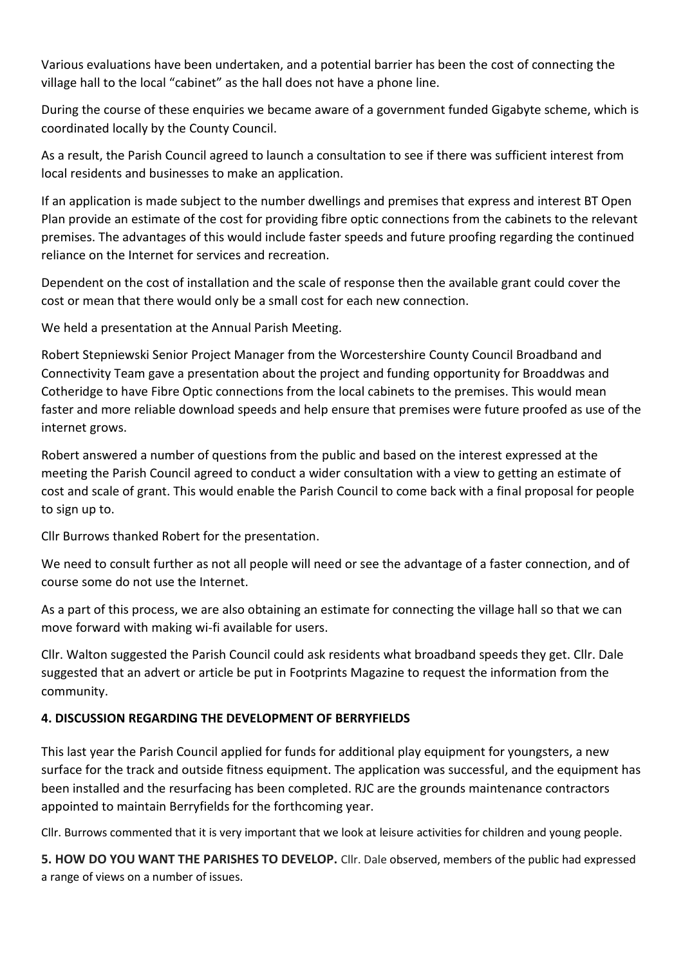Various evaluations have been undertaken, and a potential barrier has been the cost of connecting the village hall to the local "cabinet" as the hall does not have a phone line.

During the course of these enquiries we became aware of a government funded Gigabyte scheme, which is coordinated locally by the County Council.

As a result, the Parish Council agreed to launch a consultation to see if there was sufficient interest from local residents and businesses to make an application.

If an application is made subject to the number dwellings and premises that express and interest BT Open Plan provide an estimate of the cost for providing fibre optic connections from the cabinets to the relevant premises. The advantages of this would include faster speeds and future proofing regarding the continued reliance on the Internet for services and recreation.

Dependent on the cost of installation and the scale of response then the available grant could cover the cost or mean that there would only be a small cost for each new connection.

We held a presentation at the Annual Parish Meeting.

Robert Stepniewski Senior Project Manager from the Worcestershire County Council Broadband and Connectivity Team gave a presentation about the project and funding opportunity for Broaddwas and Cotheridge to have Fibre Optic connections from the local cabinets to the premises. This would mean faster and more reliable download speeds and help ensure that premises were future proofed as use of the internet grows.

Robert answered a number of questions from the public and based on the interest expressed at the meeting the Parish Council agreed to conduct a wider consultation with a view to getting an estimate of cost and scale of grant. This would enable the Parish Council to come back with a final proposal for people to sign up to.

Cllr Burrows thanked Robert for the presentation.

We need to consult further as not all people will need or see the advantage of a faster connection, and of course some do not use the Internet.

As a part of this process, we are also obtaining an estimate for connecting the village hall so that we can move forward with making wi-fi available for users.

Cllr. Walton suggested the Parish Council could ask residents what broadband speeds they get. Cllr. Dale suggested that an advert or article be put in Footprints Magazine to request the information from the community.

## **4. DISCUSSION REGARDING THE DEVELOPMENT OF BERRYFIELDS**

This last year the Parish Council applied for funds for additional play equipment for youngsters, a new surface for the track and outside fitness equipment. The application was successful, and the equipment has been installed and the resurfacing has been completed. RJC are the grounds maintenance contractors appointed to maintain Berryfields for the forthcoming year.

Cllr. Burrows commented that it is very important that we look at leisure activities for children and young people.

**5. HOW DO YOU WANT THE PARISHES TO DEVELOP.** Cllr. Dale observed, members of the public had expressed a range of views on a number of issues.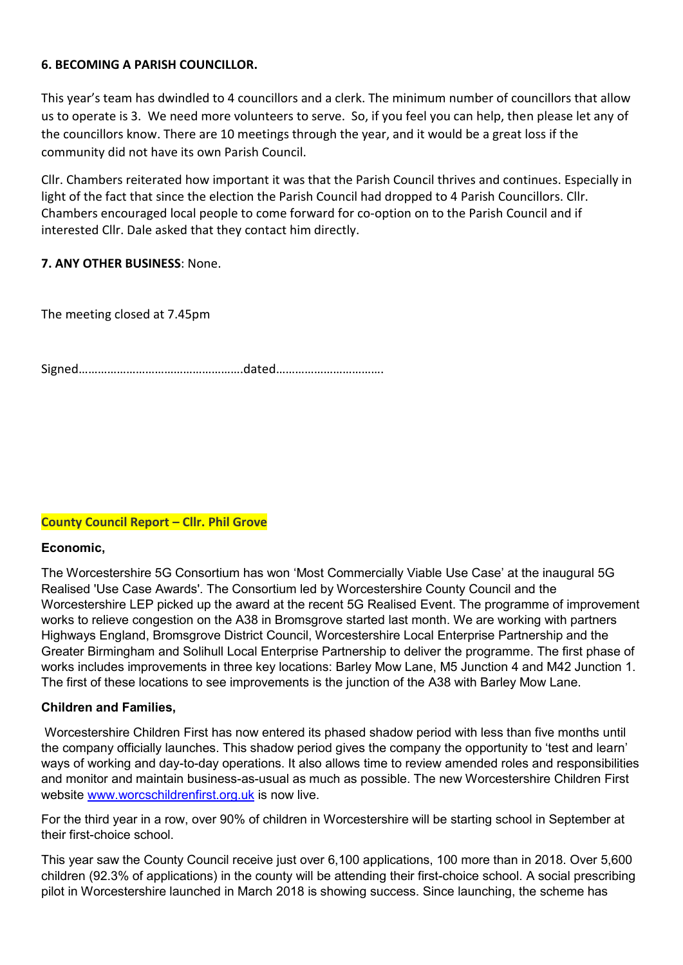#### **6. BECOMING A PARISH COUNCILLOR.**

This year's team has dwindled to 4 councillors and a clerk. The minimum number of councillors that allow us to operate is 3. We need more volunteers to serve. So, if you feel you can help, then please let any of the councillors know. There are 10 meetings through the year, and it would be a great loss if the community did not have its own Parish Council.

Cllr. Chambers reiterated how important it was that the Parish Council thrives and continues. Especially in light of the fact that since the election the Parish Council had dropped to 4 Parish Councillors. Cllr. Chambers encouraged local people to come forward for co-option on to the Parish Council and if interested Cllr. Dale asked that they contact him directly.

### **7. ANY OTHER BUSINESS**: None.

The meeting closed at 7.45pm

Signed…………………………………………….dated…………………………….

### **County Council Report – Cllr. Phil Grove**

#### **Economic,**

The Worcestershire 5G Consortium has won 'Most Commercially Viable Use Case' at the inaugural 5G Realised 'Use Case Awards'. The Consortium led by Worcestershire County Council and the Worcestershire LEP picked up the award at the recent 5G Realised Event. The programme of improvement works to relieve congestion on the A38 in Bromsgrove started last month. We are working with partners Highways England, Bromsgrove District Council, Worcestershire Local Enterprise Partnership and the Greater Birmingham and Solihull Local Enterprise Partnership to deliver the programme. The first phase of works includes improvements in three key locations: Barley Mow Lane, M5 Junction 4 and M42 Junction 1. The first of these locations to see improvements is the junction of the A38 with Barley Mow Lane.

#### **Children and Families,**

Worcestershire Children First has now entered its phased shadow period with less than five months until the company officially launches. This shadow period gives the company the opportunity to 'test and learn' ways of working and day-to-day operations. It also allows time to review amended roles and responsibilities and monitor and maintain business-as-usual as much as possible. The new Worcestershire Children First website [www.worcschildrenfirst.org.uk](http://www.worcschildrenfirst.org.uk/) is now live.

For the third year in a row, over 90% of children in Worcestershire will be starting school in September at their first-choice school.

This year saw the County Council receive just over 6,100 applications, 100 more than in 2018. Over 5,600 children (92.3% of applications) in the county will be attending their first-choice school. A social prescribing pilot in Worcestershire launched in March 2018 is showing success. Since launching, the scheme has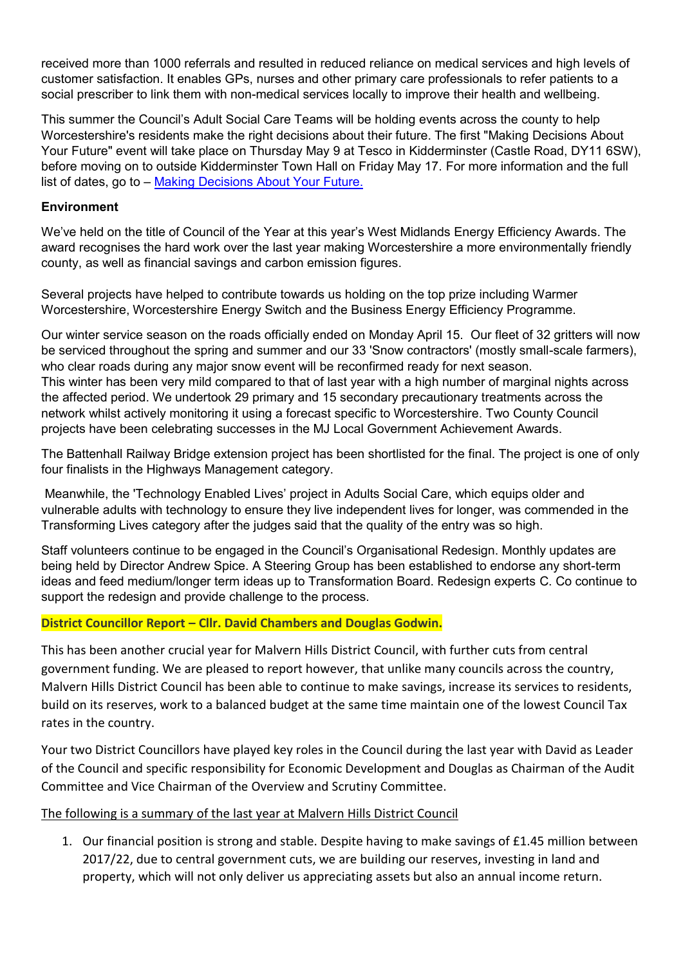received more than 1000 referrals and resulted in reduced reliance on medical services and high levels of customer satisfaction. It enables GPs, nurses and other primary care professionals to refer patients to a social prescriber to link them with non-medical services locally to improve their health and wellbeing.

This summer the Council's Adult Social Care Teams will be holding events across the county to help Worcestershire's residents make the right decisions about their future. The first "Making Decisions About Your Future" event will take place on Thursday May 9 at Tesco in Kidderminster (Castle Road, DY11 6SW), before moving on to outside Kidderminster Town Hall on Friday May 17. For more information and the full list of dates, go to – [Making Decisions About Your Future.](http://www.worcestershire.gov.uk/makingadecision)

#### **Environment**

We've held on the title of Council of the Year at this year's West Midlands Energy Efficiency Awards. The award recognises the hard work over the last year making Worcestershire a more environmentally friendly county, as well as financial savings and carbon emission figures.

Several projects have helped to contribute towards us holding on the top prize including Warmer Worcestershire, Worcestershire Energy Switch and the Business Energy Efficiency Programme.

Our winter service season on the roads officially ended on Monday April 15. Our fleet of 32 gritters will now be serviced throughout the spring and summer and our 33 'Snow contractors' (mostly small-scale farmers), who clear roads during any major snow event will be reconfirmed ready for next season. This winter has been very mild compared to that of last year with a high number of marginal nights across the affected period. We undertook 29 primary and 15 secondary precautionary treatments across the network whilst actively monitoring it using a forecast specific to Worcestershire. Two County Council projects have been celebrating successes in the MJ Local Government Achievement Awards.

The Battenhall Railway Bridge extension project has been shortlisted for the final. The project is one of only four finalists in the Highways Management category.

Meanwhile, the 'Technology Enabled Lives' project in Adults Social Care, which equips older and vulnerable adults with technology to ensure they live independent lives for longer, was commended in the Transforming Lives category after the judges said that the quality of the entry was so high.

Staff volunteers continue to be engaged in the Council's Organisational Redesign. Monthly updates are being held by Director Andrew Spice. A Steering Group has been established to endorse any short-term ideas and feed medium/longer term ideas up to Transformation Board. Redesign experts C. Co continue to support the redesign and provide challenge to the process.

#### **District Councillor Report – Cllr. David Chambers and Douglas Godwin.**

This has been another crucial year for Malvern Hills District Council, with further cuts from central government funding. We are pleased to report however, that unlike many councils across the country, Malvern Hills District Council has been able to continue to make savings, increase its services to residents, build on its reserves, work to a balanced budget at the same time maintain one of the lowest Council Tax rates in the country.

Your two District Councillors have played key roles in the Council during the last year with David as Leader of the Council and specific responsibility for Economic Development and Douglas as Chairman of the Audit Committee and Vice Chairman of the Overview and Scrutiny Committee.

### The following is a summary of the last year at Malvern Hills District Council

1. Our financial position is strong and stable. Despite having to make savings of £1.45 million between 2017/22, due to central government cuts, we are building our reserves, investing in land and property, which will not only deliver us appreciating assets but also an annual income return.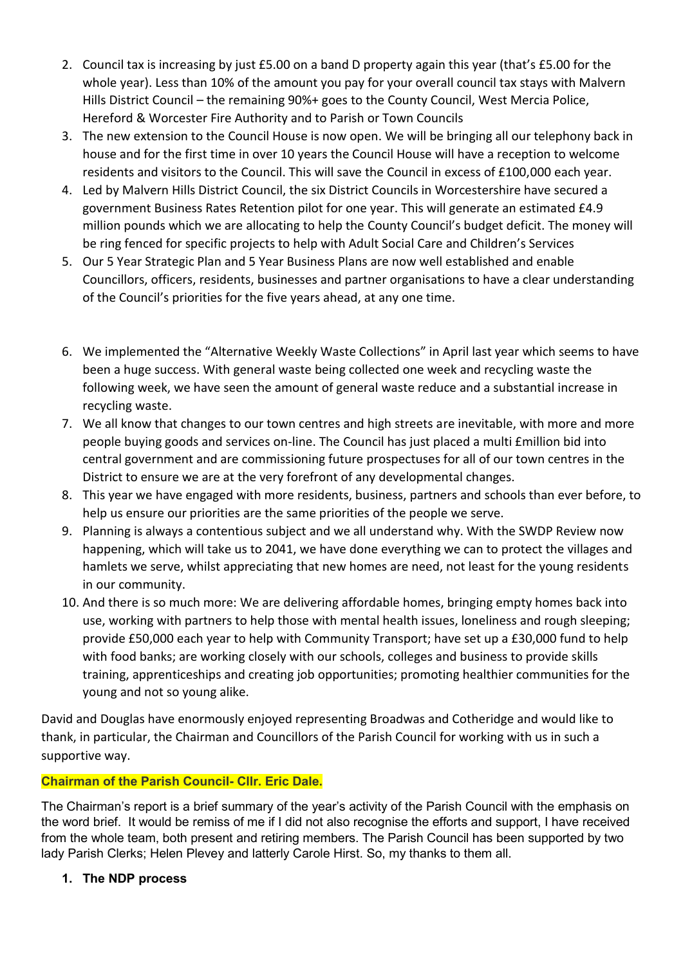- 2. Council tax is increasing by just £5.00 on a band D property again this year (that's £5.00 for the whole year). Less than 10% of the amount you pay for your overall council tax stays with Malvern Hills District Council – the remaining 90%+ goes to the County Council, West Mercia Police, Hereford & Worcester Fire Authority and to Parish or Town Councils
- 3. The new extension to the Council House is now open. We will be bringing all our telephony back in house and for the first time in over 10 years the Council House will have a reception to welcome residents and visitors to the Council. This will save the Council in excess of £100,000 each year.
- 4. Led by Malvern Hills District Council, the six District Councils in Worcestershire have secured a government Business Rates Retention pilot for one year. This will generate an estimated £4.9 million pounds which we are allocating to help the County Council's budget deficit. The money will be ring fenced for specific projects to help with Adult Social Care and Children's Services
- 5. Our 5 Year Strategic Plan and 5 Year Business Plans are now well established and enable Councillors, officers, residents, businesses and partner organisations to have a clear understanding of the Council's priorities for the five years ahead, at any one time.
- 6. We implemented the "Alternative Weekly Waste Collections" in April last year which seems to have been a huge success. With general waste being collected one week and recycling waste the following week, we have seen the amount of general waste reduce and a substantial increase in recycling waste.
- 7. We all know that changes to our town centres and high streets are inevitable, with more and more people buying goods and services on-line. The Council has just placed a multi £million bid into central government and are commissioning future prospectuses for all of our town centres in the District to ensure we are at the very forefront of any developmental changes.
- 8. This year we have engaged with more residents, business, partners and schools than ever before, to help us ensure our priorities are the same priorities of the people we serve.
- 9. Planning is always a contentious subject and we all understand why. With the SWDP Review now happening, which will take us to 2041, we have done everything we can to protect the villages and hamlets we serve, whilst appreciating that new homes are need, not least for the young residents in our community.
- 10. And there is so much more: We are delivering affordable homes, bringing empty homes back into use, working with partners to help those with mental health issues, loneliness and rough sleeping; provide £50,000 each year to help with Community Transport; have set up a £30,000 fund to help with food banks; are working closely with our schools, colleges and business to provide skills training, apprenticeships and creating job opportunities; promoting healthier communities for the young and not so young alike.

David and Douglas have enormously enjoyed representing Broadwas and Cotheridge and would like to thank, in particular, the Chairman and Councillors of the Parish Council for working with us in such a supportive way.

## **Chairman of the Parish Council- Cllr. Eric Dale.**

The Chairman's report is a brief summary of the year's activity of the Parish Council with the emphasis on the word brief. It would be remiss of me if I did not also recognise the efforts and support, I have received from the whole team, both present and retiring members. The Parish Council has been supported by two lady Parish Clerks; Helen Plevey and latterly Carole Hirst. So, my thanks to them all.

## **1. The NDP process**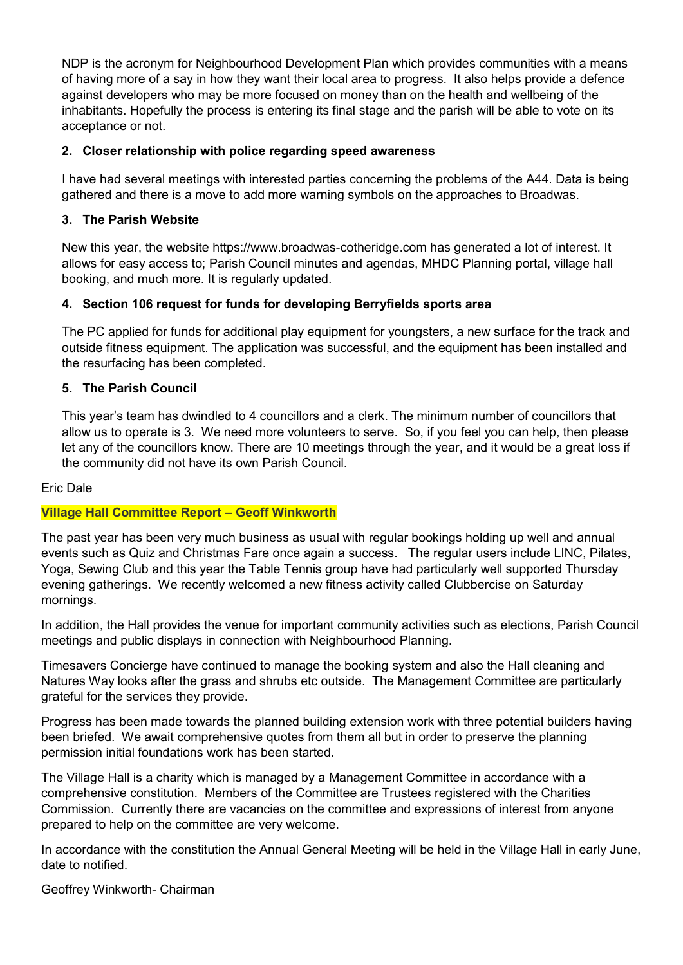NDP is the acronym for Neighbourhood Development Plan which provides communities with a means of having more of a say in how they want their local area to progress. It also helps provide a defence against developers who may be more focused on money than on the health and wellbeing of the inhabitants. Hopefully the process is entering its final stage and the parish will be able to vote on its acceptance or not.

### **2. Closer relationship with police regarding speed awareness**

I have had several meetings with interested parties concerning the problems of the A44. Data is being gathered and there is a move to add more warning symbols on the approaches to Broadwas.

### **3. The Parish Website**

New this year, the website https://www.broadwas-cotheridge.com has generated a lot of interest. It allows for easy access to; Parish Council minutes and agendas, MHDC Planning portal, village hall booking, and much more. It is regularly updated.

### **4. Section 106 request for funds for developing Berryfields sports area**

The PC applied for funds for additional play equipment for youngsters, a new surface for the track and outside fitness equipment. The application was successful, and the equipment has been installed and the resurfacing has been completed.

### **5. The Parish Council**

This year's team has dwindled to 4 councillors and a clerk. The minimum number of councillors that allow us to operate is 3. We need more volunteers to serve. So, if you feel you can help, then please let any of the councillors know. There are 10 meetings through the year, and it would be a great loss if the community did not have its own Parish Council.

### Eric Dale

### **Village Hall Committee Report – Geoff Winkworth**

The past year has been very much business as usual with regular bookings holding up well and annual events such as Quiz and Christmas Fare once again a success. The regular users include LINC, Pilates, Yoga, Sewing Club and this year the Table Tennis group have had particularly well supported Thursday evening gatherings. We recently welcomed a new fitness activity called Clubbercise on Saturday mornings.

In addition, the Hall provides the venue for important community activities such as elections, Parish Council meetings and public displays in connection with Neighbourhood Planning.

Timesavers Concierge have continued to manage the booking system and also the Hall cleaning and Natures Way looks after the grass and shrubs etc outside. The Management Committee are particularly grateful for the services they provide.

Progress has been made towards the planned building extension work with three potential builders having been briefed. We await comprehensive quotes from them all but in order to preserve the planning permission initial foundations work has been started.

The Village Hall is a charity which is managed by a Management Committee in accordance with a comprehensive constitution. Members of the Committee are Trustees registered with the Charities Commission. Currently there are vacancies on the committee and expressions of interest from anyone prepared to help on the committee are very welcome.

In accordance with the constitution the Annual General Meeting will be held in the Village Hall in early June, date to notified.

Geoffrey Winkworth- Chairman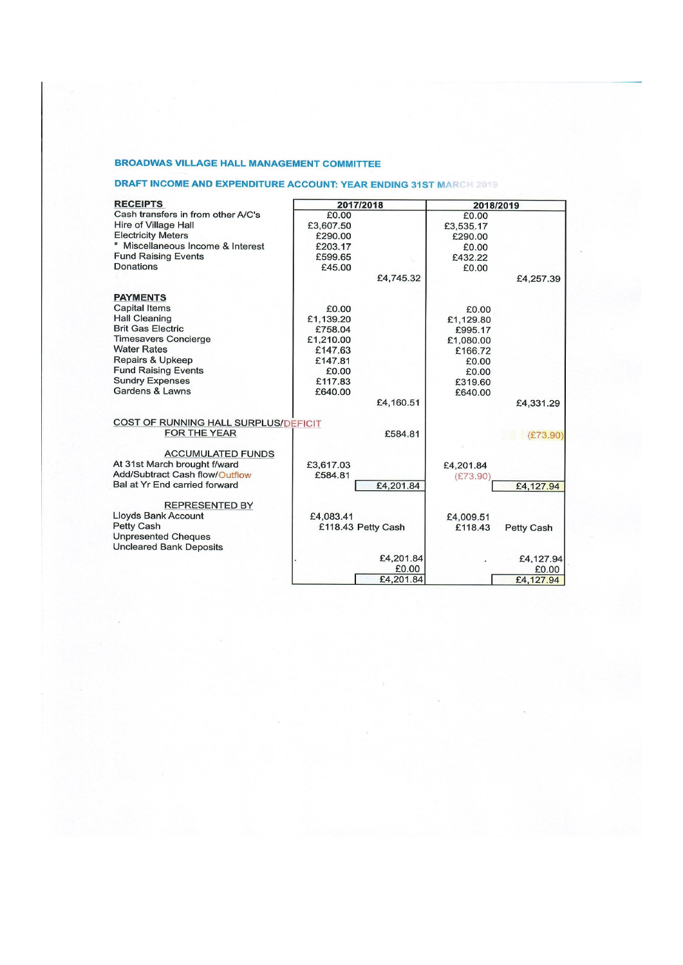#### **BROADWAS VILLAGE HALL MANAGEMENT COMMITTEE**

#### **DRAFT INCOME AND EXPENDITURE ACCOUNT: YEAR ENDING 31ST MARCH 2019**

| <b>RECEIPTS</b>                      | 2017/2018          |           | 2018/2019 |                   |
|--------------------------------------|--------------------|-----------|-----------|-------------------|
| Cash transfers in from other A/C's   | £0.00              |           | £0.00     |                   |
| Hire of Village Hall                 | £3,607.50          |           | £3,535.17 |                   |
| <b>Electricity Meters</b>            | £290.00            |           | £290.00   |                   |
| * Miscellaneous Income & Interest    | £203.17            |           | £0.00     |                   |
| <b>Fund Raising Events</b>           | £599.65            |           | £432.22   |                   |
| Donations                            | £45.00             |           | £0.00     |                   |
|                                      |                    | £4,745.32 |           | £4,257.39         |
| <b>PAYMENTS</b>                      |                    |           |           |                   |
| <b>Capital Items</b>                 | £0.00              |           | £0.00     |                   |
| <b>Hall Cleaning</b>                 | £1,139.20          |           | £1,129.80 |                   |
| <b>Brit Gas Electric</b>             | £758.04            |           | £995.17   |                   |
| <b>Timesavers Concierge</b>          | £1,210.00          |           | £1,080.00 |                   |
| <b>Water Rates</b>                   | £147.63            |           | £166.72   |                   |
| <b>Repairs &amp; Upkeep</b>          | £147.81            |           | £0.00     |                   |
| <b>Fund Raising Events</b>           | £0.00              |           | £0.00     |                   |
| <b>Sundry Expenses</b>               | £117.83            |           | £319.60   |                   |
| Gardens & Lawns                      | £640.00            |           | £640.00   |                   |
|                                      |                    | £4,160.51 |           | £4,331.29         |
| COST OF RUNNING HALL SURPLUS/DEFICIT |                    |           |           |                   |
| FOR THE YEAR                         |                    | £584.81   |           | (E73.90)          |
| <b>ACCUMULATED FUNDS</b>             |                    |           |           |                   |
| At 31st March brought f/ward         | £3,617.03          |           | £4,201.84 |                   |
| Add/Subtract Cash flow/Outflow       | £584.81            |           | (E73.90)  |                   |
| Bal at Yr End carried forward        |                    | £4,201.84 |           | £4,127.94         |
|                                      |                    |           |           |                   |
| <b>REPRESENTED BY</b>                |                    |           |           |                   |
| Lloyds Bank Account                  | £4,083.41          |           | £4,009.51 |                   |
| <b>Petty Cash</b>                    | £118.43 Petty Cash |           | £118.43   | <b>Petty Cash</b> |
| <b>Unpresented Cheques</b>           |                    |           |           |                   |
| <b>Uncleared Bank Deposits</b>       |                    |           |           |                   |
|                                      |                    | £4,201.84 |           | £4,127.94         |
|                                      |                    | £0.00     |           | £0.00             |
|                                      |                    | £4,201.84 |           | £4,127.94         |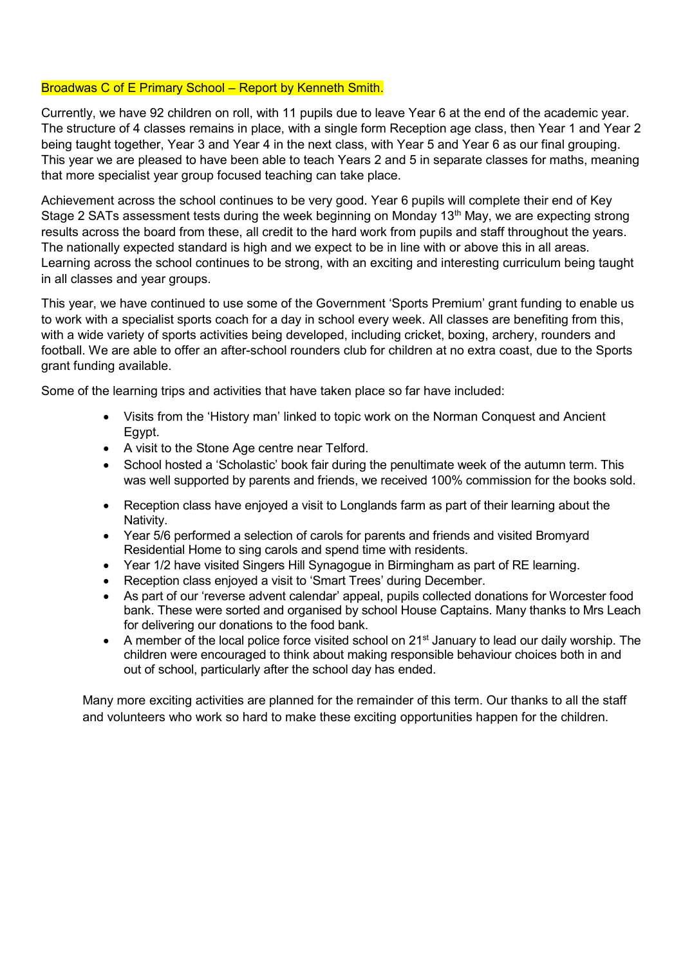#### Broadwas C of E Primary School – Report by Kenneth Smith.

Currently, we have 92 children on roll, with 11 pupils due to leave Year 6 at the end of the academic year. The structure of 4 classes remains in place, with a single form Reception age class, then Year 1 and Year 2 being taught together, Year 3 and Year 4 in the next class, with Year 5 and Year 6 as our final grouping. This year we are pleased to have been able to teach Years 2 and 5 in separate classes for maths, meaning that more specialist year group focused teaching can take place.

Achievement across the school continues to be very good. Year 6 pupils will complete their end of Key Stage 2 SATs assessment tests during the week beginning on Monday 13<sup>th</sup> May, we are expecting strong results across the board from these, all credit to the hard work from pupils and staff throughout the years. The nationally expected standard is high and we expect to be in line with or above this in all areas. Learning across the school continues to be strong, with an exciting and interesting curriculum being taught in all classes and year groups.

This year, we have continued to use some of the Government 'Sports Premium' grant funding to enable us to work with a specialist sports coach for a day in school every week. All classes are benefiting from this, with a wide variety of sports activities being developed, including cricket, boxing, archery, rounders and football. We are able to offer an after-school rounders club for children at no extra coast, due to the Sports grant funding available.

Some of the learning trips and activities that have taken place so far have included:

- Visits from the 'History man' linked to topic work on the Norman Conquest and Ancient Egypt.
- A visit to the Stone Age centre near Telford.
- School hosted a 'Scholastic' book fair during the penultimate week of the autumn term. This was well supported by parents and friends, we received 100% commission for the books sold.
- Reception class have enjoyed a visit to Longlands farm as part of their learning about the Nativity.
- Year 5/6 performed a selection of carols for parents and friends and visited Bromyard Residential Home to sing carols and spend time with residents.
- Year 1/2 have visited Singers Hill Synagogue in Birmingham as part of RE learning.
- Reception class enjoyed a visit to 'Smart Trees' during December.
- As part of our 'reverse advent calendar' appeal, pupils collected donations for Worcester food bank. These were sorted and organised by school House Captains. Many thanks to Mrs Leach for delivering our donations to the food bank.
- A member of the local police force visited school on  $21<sup>st</sup>$  January to lead our daily worship. The children were encouraged to think about making responsible behaviour choices both in and out of school, particularly after the school day has ended.

Many more exciting activities are planned for the remainder of this term. Our thanks to all the staff and volunteers who work so hard to make these exciting opportunities happen for the children.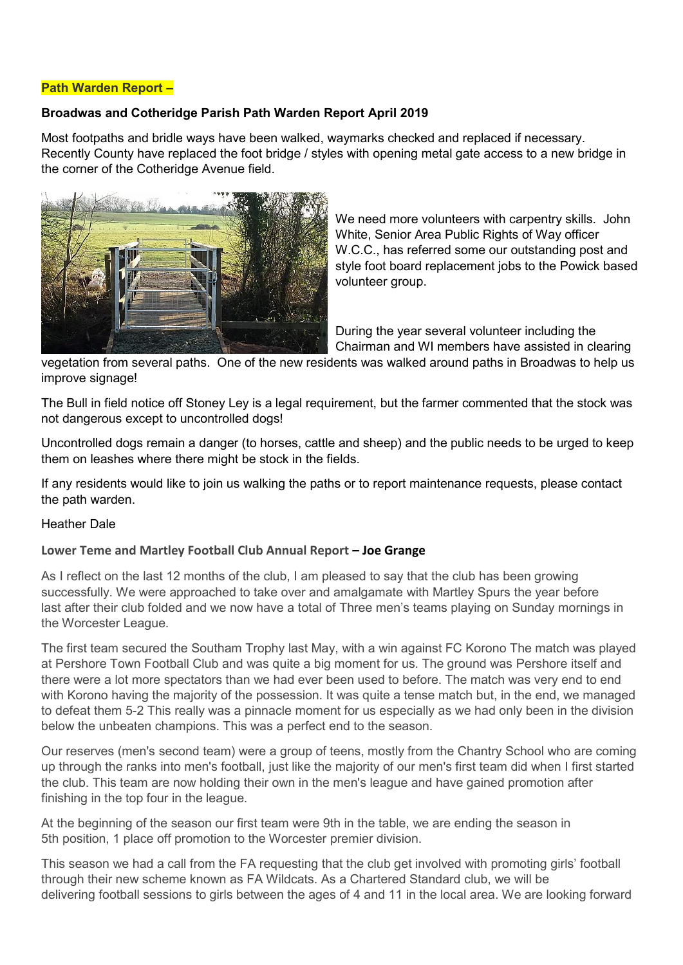#### **Path Warden Report –**

### **Broadwas and Cotheridge Parish Path Warden Report April 2019**

Most footpaths and bridle ways have been walked, waymarks checked and replaced if necessary. Recently County have replaced the foot bridge / styles with opening metal gate access to a new bridge in the corner of the Cotheridge Avenue field.



We need more volunteers with carpentry skills. John White, Senior Area Public Rights of Way officer W.C.C., has referred some our outstanding post and style foot board replacement jobs to the Powick based volunteer group.

During the year several volunteer including the Chairman and WI members have assisted in clearing

vegetation from several paths. One of the new residents was walked around paths in Broadwas to help us improve signage!

The Bull in field notice off Stoney Ley is a legal requirement, but the farmer commented that the stock was not dangerous except to uncontrolled dogs!

Uncontrolled dogs remain a danger (to horses, cattle and sheep) and the public needs to be urged to keep them on leashes where there might be stock in the fields.

If any residents would like to join us walking the paths or to report maintenance requests, please contact the path warden.

#### Heather Dale

#### **Lower Teme and Martley Football Club Annual Report – Joe Grange**

As I reflect on the last 12 months of the club, I am pleased to say that the club has been growing successfully. We were approached to take over and amalgamate with Martley Spurs the year before last after their club folded and we now have a total of Three men's teams playing on Sunday mornings in the Worcester League.

The first team secured the Southam Trophy last May, with a win against FC Korono The match was played at Pershore Town Football Club and was quite a big moment for us. The ground was Pershore itself and there were a lot more spectators than we had ever been used to before. The match was very end to end with Korono having the majority of the possession. It was quite a tense match but, in the end, we managed to defeat them 5-2 This really was a pinnacle moment for us especially as we had only been in the division below the unbeaten champions. This was a perfect end to the season.

Our reserves (men's second team) were a group of teens, mostly from the Chantry School who are coming up through the ranks into men's football, just like the majority of our men's first team did when I first started the club. This team are now holding their own in the men's league and have gained promotion after finishing in the top four in the league.

At the beginning of the season our first team were 9th in the table, we are ending the season in 5th position, 1 place off promotion to the Worcester premier division.

This season we had a call from the FA requesting that the club get involved with promoting girls' football through their new scheme known as FA Wildcats. As a Chartered Standard club, we will be delivering football sessions to girls between the ages of 4 and 11 in the local area. We are looking forward